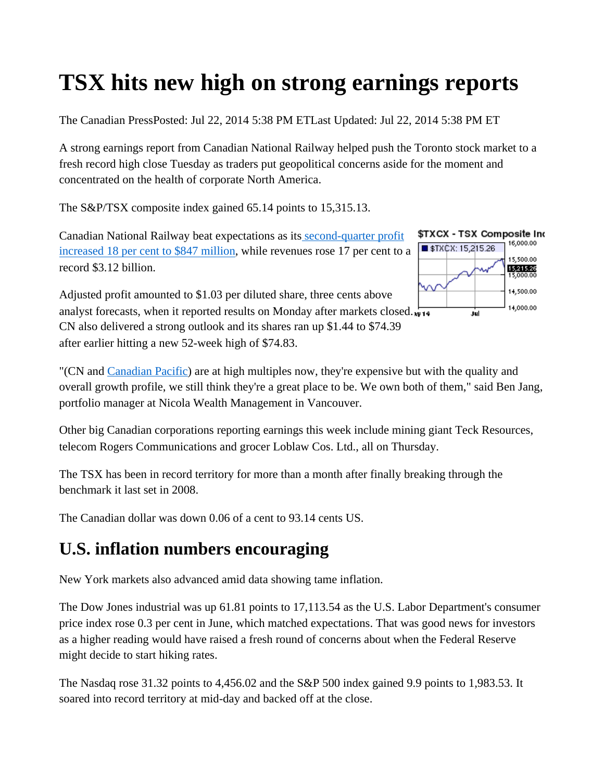## **TSX hits new high on strong earnings reports**

The Canadian PressPosted: Jul 22, 2014 5:38 PM ETLast Updated: Jul 22, 2014 5:38 PM ET

A strong earnings report from Canadian National Railway helped push the Toronto stock market to a fresh record high close Tuesday as traders put geopolitical concerns aside for the moment and concentrated on the health of corporate North America.

The S&P/TSX composite index gained 65.14 points to 15,315.13.

Canadian National Railway beat expectations as its second-quarter profit increased 18 per cent to \$847 million, while revenues rose 17 per cent to a record \$3.12 billion.

Adjusted profit amounted to \$1.03 per diluted share, three cents above analyst forecasts, when it reported results on Monday after markets closed. CN also delivered a strong outlook and its shares ran up \$1.44 to \$74.39 after earlier hitting a new 52-week high of \$74.83.



"(CN and Canadian Pacific) are at high multiples now, they're expensive but with the quality and overall growth profile, we still think they're a great place to be. We own both of them," said Ben Jang, portfolio manager at Nicola Wealth Management in Vancouver.

Other big Canadian corporations reporting earnings this week include mining giant Teck Resources, telecom Rogers Communications and grocer Loblaw Cos. Ltd., all on Thursday.

The TSX has been in record territory for more than a month after finally breaking through the benchmark it last set in 2008.

The Canadian dollar was down 0.06 of a cent to 93.14 cents US.

## **U.S. inflation numbers encouraging**

New York markets also advanced amid data showing tame inflation.

The Dow Jones industrial was up 61.81 points to 17,113.54 as the U.S. Labor Department's consumer price index rose 0.3 per cent in June, which matched expectations. That was good news for investors as a higher reading would have raised a fresh round of concerns about when the Federal Reserve might decide to start hiking rates.

The Nasdaq rose 31.32 points to 4,456.02 and the S&P 500 index gained 9.9 points to 1,983.53. It soared into record territory at mid-day and backed off at the close.